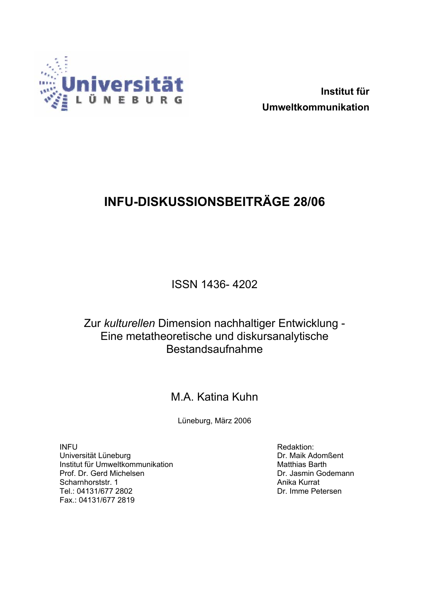

**Institut für Umweltkommunikation** 

## **INFU-DISKUSSIONSBEITRÄGE 28/06**

ISSN 1436- 4202

## Zur *kulturellen* Dimension nachhaltiger Entwicklung - Eine metatheoretische und diskursanalytische Bestandsaufnahme

## M.A. Katina Kuhn

Lüneburg, März 2006

INFU Universität Lüneburg Institut für Umweltkommunikation Prof. Dr. Gerd Michelsen Scharnhorststr. 1 Tel.: 04131/677 2802 Fax.: 04131/677 2819

Redaktion: Dr. Maik Adomßent Matthias Barth Dr. Jasmin Godemann Anika Kurrat Dr. Imme Petersen